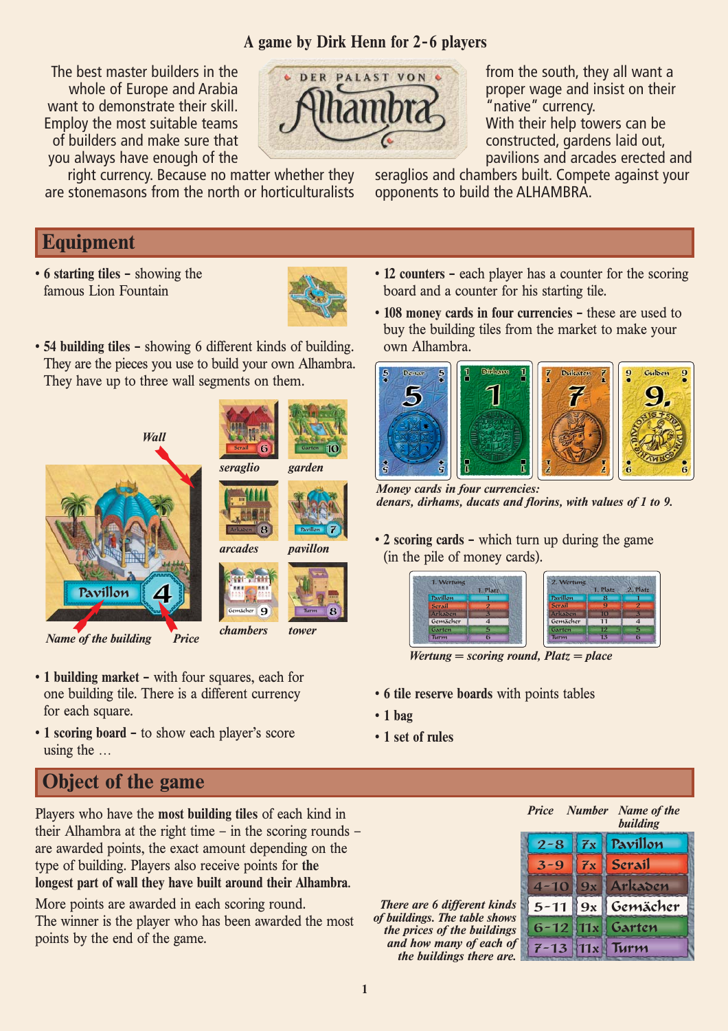## **A game by Dirk Henn for 2-6 players**

The best master builders in the whole of Europe and Arabia want to demonstrate their skill. Employ the most suitable teams of builders and make sure that you always have enough of the right currency. Because no matter whether they



from the south, they all want a proper wage and insist on their 'native" currency. With their help towers can be constructed, gardens laid out, pavilions and arcades erected and

seraglios and chambers built. Compete against your opponents to build the ALHAMBRA.

## **Equipment**

• **6 starting tiles –** showing the famous Lion Fountain



• **54 building tiles –** showing 6 different kinds of building. They are the pieces you use to build your own Alhambra. They have up to three wall segments on them.

are stonemasons from the north or horticulturalists





Serail **6 Garten** 

- **1 building market –** with four squares, each for one building tile. There is a different currency for each square.
- **1 scoring board –** to show each player's score using the …

# **Object of the game**

Players who have the **most building tiles** of each kind in their Alhambra at the right time – in the scoring rounds – are awarded points, the exact amount depending on the type of building. Players also receive points for **the longest part of wall they have built around their Alhambra**.

More points are awarded in each scoring round. The winner is the player who has been awarded the most points by the end of the game.

- **12 counters –** each player has a counter for the scoring board and a counter for his starting tile.
- **108 money cards in four currencies –** these are used to buy the building tiles from the market to make your own Alhambra.



*Money cards in four currencies: denars, dirhams, ducats and florins, with values of 1 to 9.*

• **2 scoring cards –** which turn up during the game (in the pile of money cards).

| 1. Wertung    | 1. Platz | 2. Wertung    | 1. Platz       | 2. Platz                 |
|---------------|----------|---------------|----------------|--------------------------|
| Pavillon      |          | Pavillon      | 8              |                          |
| <b>Serail</b> |          | <b>Serail</b> | 9              | $\overline{\mathcal{P}}$ |
| Arkaden       |          | Arkaden       | 10             | В                        |
| Gemächer      | 4        | Gemächer      | 11             | $\boldsymbol{A}$         |
| Garten        | 5        | Garten        | 12             | 5                        |
| Turm          |          | Turm          | 1 <sub>3</sub> | 6                        |

*Wertung = scoring round, Platz = place*

- **6 tile reserve boards** with points tables
- **1 bag**
- **1 set of rules**



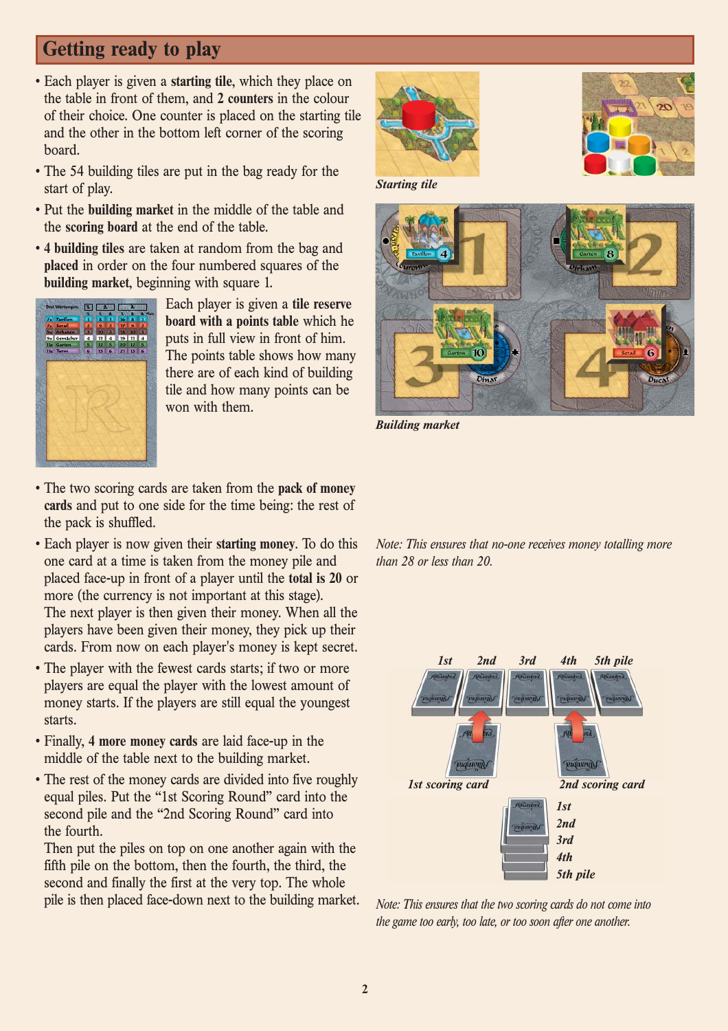# **Getting ready to play**

- Each player is given a **starting tile**, which they place on the table in front of them, and **2 counters** in the colour of their choice. One counter is placed on the starting tile and the other in the bottom left corner of the scoring board.
- The 54 building tiles are put in the bag ready for the start of play.
- Put the **building market** in the middle of the table and the **scoring board** at the end of the table.
- **4 building tiles** are taken at random from the bag and **placed** in order on the four numbered squares of the **building market**, beginning with square 1.



Each player is given a **tile reserve board with a points table** which he puts in full view in front of him. The points table shows how many there are of each kind of building tile and how many points can be won with them.





*Starting tile*



*Building market*

- The two scoring cards are taken from the **pack of money cards** and put to one side for the time being: the rest of the pack is shuffled.
- Each player is now given their **starting money**. To do this one card at a time is taken from the money pile and placed face-up in front of a player until the **total is 20** or more (the currency is not important at this stage). The next player is then given their money. When all the players have been given their money, they pick up their cards. From now on each player's money is kept secret.
- The player with the fewest cards starts; if two or more players are equal the player with the lowest amount of money starts. If the players are still equal the youngest starts.
- Finally, **4 more money cards** are laid face-up in the middle of the table next to the building market.
- The rest of the money cards are divided into five roughly equal piles. Put the "1st Scoring Round" card into the second pile and the "2nd Scoring Round" card into the fourth.

Then put the piles on top on one another again with the fifth pile on the bottom, then the fourth, the third, the second and finally the first at the very top. The whole pile is then placed face-down next to the building market. *Note: This ensures that no-one receives money totalling more than 28 or less than 20.*



*Note: This ensures that the two scoring cards do not come into the game too early, too late, or too soon after one another.*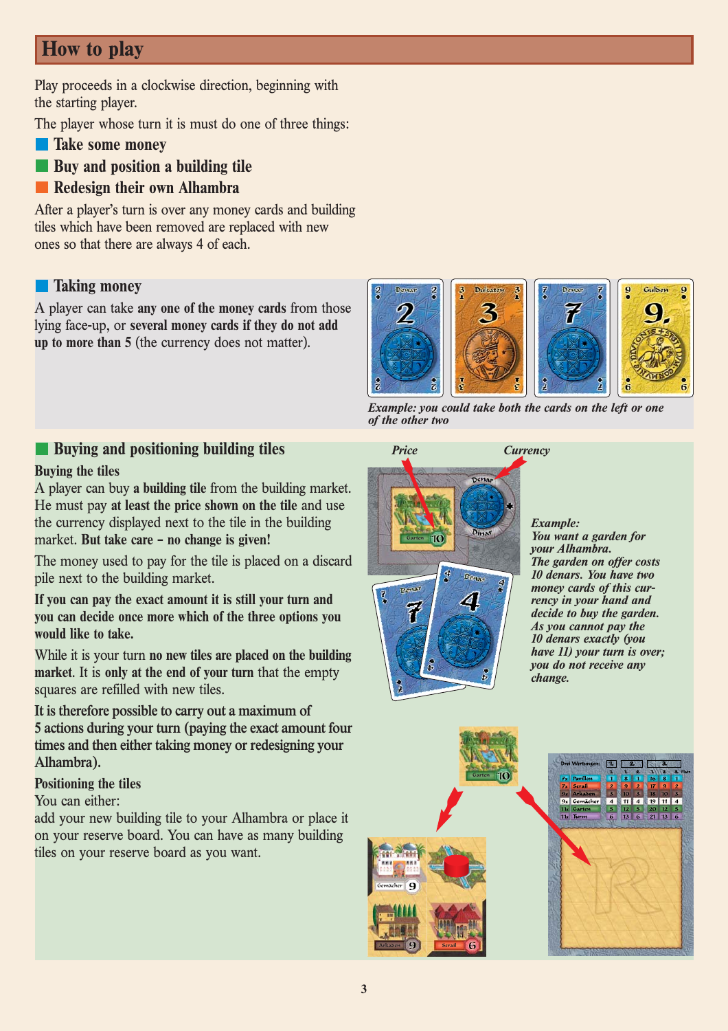# **How to play**

Play proceeds in a clockwise direction, beginning with the starting player.

The player whose turn it is must do one of three things:

- **Take some money**
- **Buy and position a building tile**
- **Redesign their own Alhambra**

After a player's turn is over any money cards and building tiles which have been removed are replaced with new ones so that there are always 4 of each.

### **Taking money**

A player can take **any one of the money cards** from those lying face-up, or **several money cards if they do not add up to more than 5** (the currency does not matter).



*Example: you could take both the cards on the left or one of the other two*

### **Buying and positioning building tiles**

#### **Buying the tiles**

A player can buy **a building tile** from the building market. He must pay **at least the price shown on the tile** and use the currency displayed next to the tile in the building market. **But take care – no change is given!**

The money used to pay for the tile is placed on a discard pile next to the building market.

**If you can pay the exact amount it is still your turn and you can decide once more which of the three options you would like to take.**

While it is your turn **no new tiles are placed on the building market**. It is **only at the end of your turn** that the empty squares are refilled with new tiles.

**It is therefore possible to carry out a maximum of 5 actions during your turn (paying the exact amount four times and then either taking money or redesigning your Alhambra).**

### **Positioning the tiles**

### You can either:

add your new building tile to your Alhambra or place it on your reserve board. You can have as many building tiles on your reserve board as you want.



*Example: You want a garden for your Alhambra. The garden on offer costs 10 denars. You have two money cards of this currency in your hand and decide to buy the garden. As you cannot pay the 10 denars exactly (you have 11) your turn is over; you do not receive any change.*

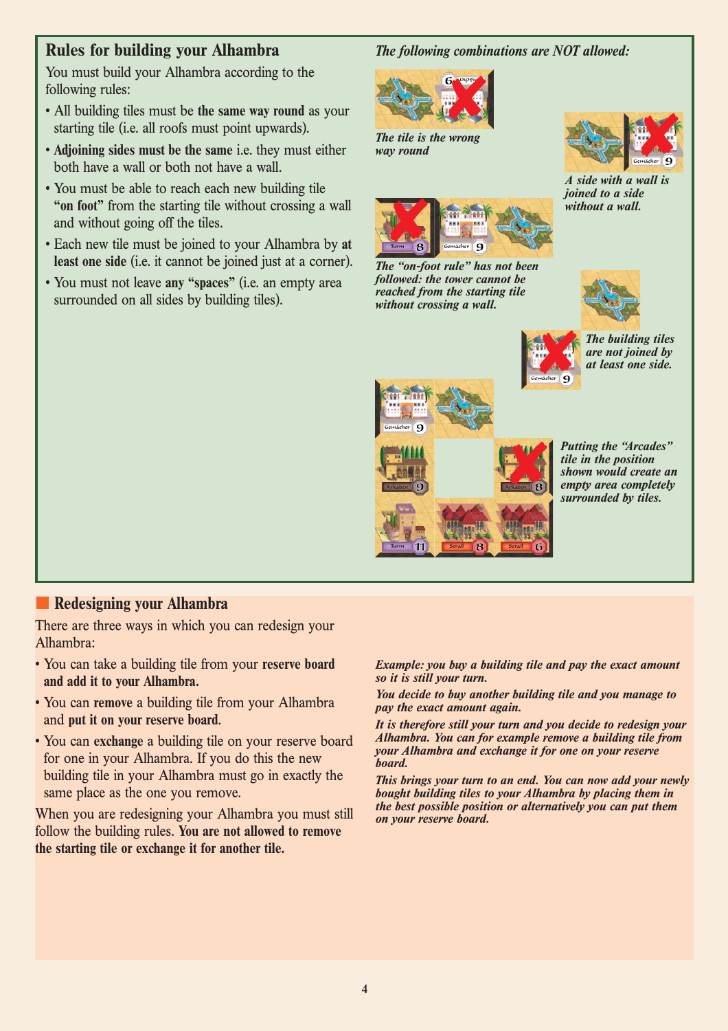## **Rules for building your Alhambra**

You must build your Alhambra according to the following rules:

- All building tiles must be **the same way round** as your starting tile (i.e. all roofs must point upwards).
- **Adjoining sides must be the same** i.e. they must either both have a wall or both not have a wall.
- You must be able to reach each new building tile **"on foot"** from the starting tile without crossing a wall and without going off the tiles.
- Each new tile must be joined to your Alhambra by **at least one side** (i.e. it cannot be joined just at a corner).
- You must not leave **any "spaces"** (i.e. an empty area surrounded on all sides by building tiles).

#### *The following combinations are NOT allowed:*



*The tile is the wrong way round*



*A side with a wall is joined to a side without a wall.*



*The "on-foot rule" has not been followed: the tower cannot be reached from the starting tile without crossing a wall.*







*Putting the "Arcades" tile in the position shown would create an empty area completely surrounded by tiles.*

### **Redesigning your Alhambra**

There are three ways in which you can redesign your Alhambra:

- You can take a building tile from your **reserve board and add it to your Alhambra.**
- You can **remove** a building tile from your Alhambra and **put it on your reserve board**.
- You can **exchange** a building tile on your reserve board for one in your Alhambra. If you do this the new building tile in your Alhambra must go in exactly the same place as the one you remove.

When you are redesigning your Alhambra you must still follow the building rules. **You are not allowed to remove the starting tile or exchange it for another tile.**

*Example: you buy a building tile and pay the exact amount so it is still your turn.*

Gemächer

**WARNER** 

*You decide to buy another building tile and you manage to pay the exact amount again.*

*It is therefore still your turn and you decide to redesign your Alhambra. You can for example remove a building tile from your Alhambra and exchange it for one on your reserve board.*

*This brings your turn to an end. You can now add your newly bought building tiles to your Alhambra by placing them in the best possible position or alternatively you can put them on your reserve board.*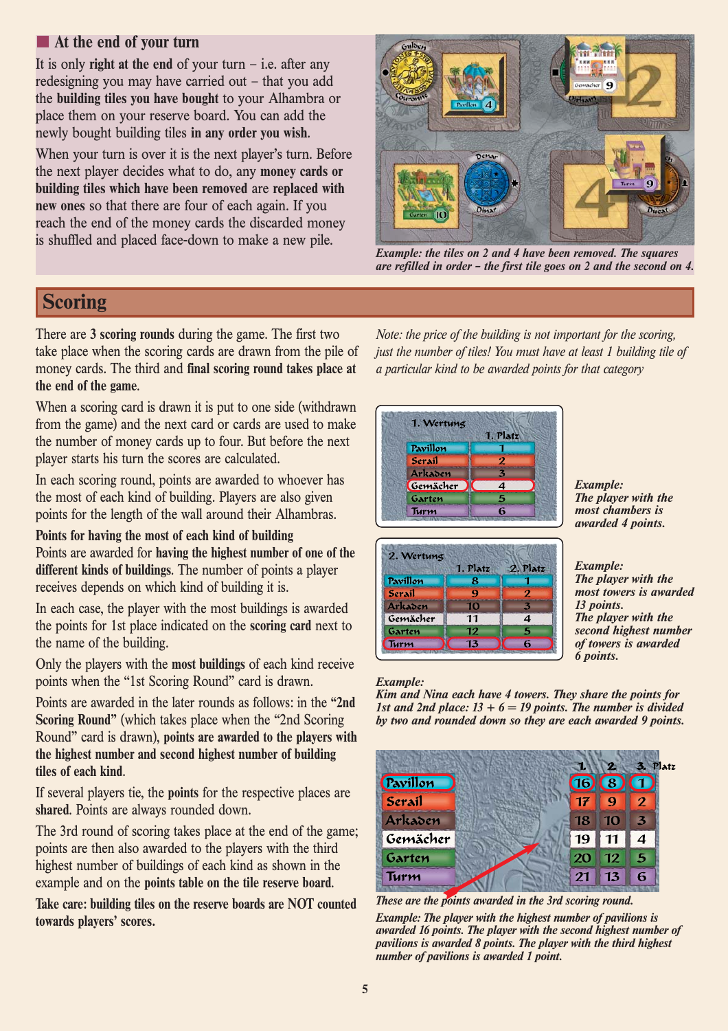## **At the end of your turn**

It is only **right at the end** of your turn  $-$  i.e. after any redesigning you may have carried out – that you add the **building tiles you have bought** to your Alhambra or place them on your reserve board. You can add the newly bought building tiles **in any order you wish**.

When your turn is over it is the next player's turn. Before the next player decides what to do, any **money cards or building tiles which have been removed** are **replaced with new ones** so that there are four of each again. If you reach the end of the money cards the discarded money is shuffled and placed face-down to make a new pile.



*Example: the tiles on 2 and 4 have been removed. The squares are refilled in order – the first tile goes on 2 and the second on 4.*

# **Scoring**

There are **3 scoring rounds** during the game. The first two take place when the scoring cards are drawn from the pile of money cards. The third and **final scoring round takes place at the end of the game**.

When a scoring card is drawn it is put to one side (withdrawn from the game) and the next card or cards are used to make the number of money cards up to four. But before the next player starts his turn the scores are calculated.

In each scoring round, points are awarded to whoever has the most of each kind of building. Players are also given points for the length of the wall around their Alhambras.

### **Points for having the most of each kind of building**

Points are awarded for **having the highest number of one of the different kinds of buildings**. The number of points a player receives depends on which kind of building it is.

In each case, the player with the most buildings is awarded the points for 1st place indicated on the **scoring card** next to the name of the building.

Only the players with the **most buildings** of each kind receive points when the "1st Scoring Round" card is drawn.

Points are awarded in the later rounds as follows: in the **"2nd Scoring Round"** (which takes place when the "2nd Scoring Round" card is drawn), **points are awarded to the players with the highest number and second highest number of building tiles of each kind**.

If several players tie, the **points** for the respective places are **shared**. Points are always rounded down.

The 3rd round of scoring takes place at the end of the game; points are then also awarded to the players with the third highest number of buildings of each kind as shown in the example and on the **points table on the tile reserve board**.

**Take care: building tiles on the reserve boards are NOT counted towards players' scores.**

*Note: the price of the building is not important for the scoring, just the number of tiles! You must have at least 1 building tile of a particular kind to be awarded points for that category*

| 1. Wertung |                  |
|------------|------------------|
|            | 1. Platz         |
| Pavillon   |                  |
| Serail     | 2                |
| Arkaden    | 3                |
| Gemächer   | $\boldsymbol{4}$ |
| Garten     | 5                |
| Turm       | 6                |

*Example: The player with the most chambers is awarded 4 points.*

|          | 1. Platz | 2. Platz         |
|----------|----------|------------------|
| Pavillon | 8        |                  |
| Serail   | q        | 2                |
| Arkaden  | 10       | 3                |
| Gemächer | 11       | $\boldsymbol{4}$ |
| Garten   | 12       | 5                |
| Turm     | 13       | 6                |

#### *Example: The player with the most towers is awarded 13 points. The player with the second highest number of towers is awarded 6 points.*

#### *Example:*

*Kim and Nina each have 4 towers. They share the points for 1st and 2nd place:*  $13 + 6 = 19$  *points. The number is divided by two and rounded down so they are each awarded 9 points.*



*These are the points awarded in the 3rd scoring round.*

*Example: The player with the highest number of pavilions is awarded 16 points. The player with the second highest number of pavilions is awarded 8 points. The player with the third highest number of pavilions is awarded 1 point.*